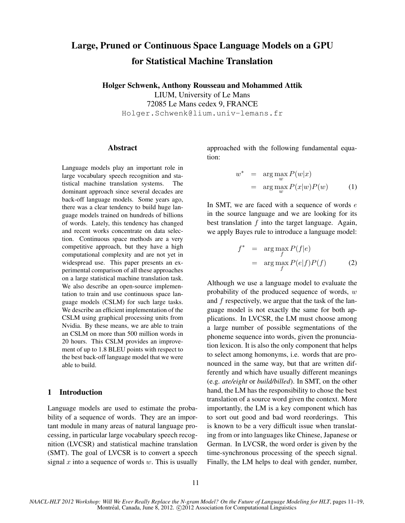# Large, Pruned or Continuous Space Language Models on a GPU for Statistical Machine Translation

Holger Schwenk, Anthony Rousseau and Mohammed Attik LIUM, University of Le Mans 72085 Le Mans cedex 9, FRANCE

Holger.Schwenk@lium.univ-lemans.fr

#### Abstract

Language models play an important role in large vocabulary speech recognition and statistical machine translation systems. The dominant approach since several decades are back-off language models. Some years ago, there was a clear tendency to build huge language models trained on hundreds of billions of words. Lately, this tendency has changed and recent works concentrate on data selection. Continuous space methods are a very competitive approach, but they have a high computational complexity and are not yet in widespread use. This paper presents an experimental comparison of all these approaches on a large statistical machine translation task. We also describe an open-source implementation to train and use continuous space language models (CSLM) for such large tasks. We describe an efficient implementation of the CSLM using graphical processing units from Nvidia. By these means, we are able to train an CSLM on more than 500 million words in 20 hours. This CSLM provides an improvement of up to 1.8 BLEU points with respect to the best back-off language model that we were able to build.

# 1 Introduction

Language models are used to estimate the probability of a sequence of words. They are an important module in many areas of natural language processing, in particular large vocabulary speech recognition (LVCSR) and statistical machine translation (SMT). The goal of LVCSR is to convert a speech signal x into a sequence of words w. This is usually approached with the following fundamental equation:

$$
w^* = \arg\max_{w} P(w|x)
$$
  
= 
$$
\arg\max_{w} P(x|w)P(w)
$$
 (1)

In SMT, we are faced with a sequence of words  $e$ in the source language and we are looking for its best translation f into the target language. Again, we apply Bayes rule to introduce a language model:

$$
f^* = \underset{f}{\arg \max} P(f|e)
$$
  
= 
$$
\underset{f}{\arg \max} P(e|f)P(f)
$$
 (2)

Although we use a language model to evaluate the probability of the produced sequence of words,  $w$ and f respectively, we argue that the task of the language model is not exactly the same for both applications. In LVCSR, the LM must choose among a large number of possible segmentations of the phoneme sequence into words, given the pronunciation lexicon. It is also the only component that helps to select among homonyms, i.e. words that are pronounced in the same way, but that are written differently and which have usually different meanings (e.g. *ate/eight* or *build/billed*). In SMT, on the other hand, the LM has the responsibility to chose the best translation of a source word given the context. More importantly, the LM is a key component which has to sort out good and bad word reorderings. This is known to be a very difficult issue when translating from or into languages like Chinese, Japanese or German. In LVCSR, the word order is given by the time-synchronous processing of the speech signal. Finally, the LM helps to deal with gender, number,

*NAACL-HLT 2012 Workshop: Will We Ever Really Replace the N-gram Model? On the Future of Language Modeling for HLT*, pages 11–19, Montréal, Canada, June 8, 2012.  $\odot$ 2012 Association for Computational Linguistics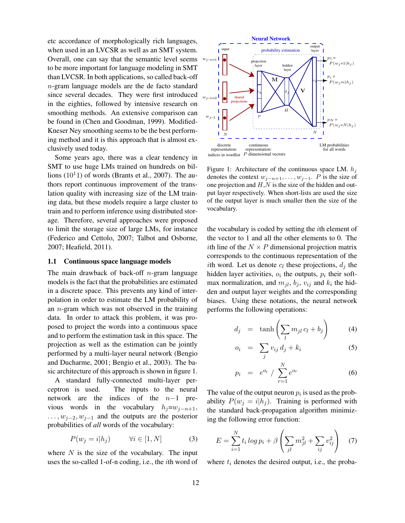etc accordance of morphologically rich languages, when used in an LVCSR as well as an SMT system. Overall, one can say that the semantic level seems to be more important for language modeling in SMT than LVCSR. In both applications, so called back-off n-gram language models are the de facto standard since several decades. They were first introduced in the eighties, followed by intensive research on smoothing methods. An extensive comparison can be found in (Chen and Goodman, 1999). Modified-Kneser Ney smoothing seems to be the best performing method and it is this approach that is almost exclusively used today.

Some years ago, there was a clear tendency in SMT to use huge LMs trained on hundreds on billions  $(10<sup>1</sup>1)$  of words (Brants et al., 2007). The authors report continuous improvement of the translation quality with increasing size of the LM training data, but these models require a large cluster to train and to perform inference using distributed storage. Therefore, several approaches were proposed to limit the storage size of large LMs, for instance (Federico and Cettolo, 2007; Talbot and Osborne, 2007; Heafield, 2011).

## 1.1 Continuous space language models

The main drawback of back-off  $n$ -gram language models is the fact that the probabilities are estimated in a discrete space. This prevents any kind of interpolation in order to estimate the LM probability of an  $n$ -gram which was not observed in the training data. In order to attack this problem, it was proposed to project the words into a continuous space and to perform the estimation task in this space. The projection as well as the estimation can be jointly performed by a multi-layer neural network (Bengio and Ducharme, 2001; Bengio et al., 2003). The basic architecture of this approach is shown in figure 1.

A standard fully-connected multi-layer perceptron is used. The inputs to the neural network are the indices of the  $n-1$  previous words in the vocabulary  $h_i=w_{i-n+1}$ ,  $\dots, w_{j-2}, w_{j-1}$  and the outputs are the posterior probabilities of *all* words of the vocabulary:

$$
P(w_j = i | h_j) \qquad \forall i \in [1, N] \tag{3}
$$

where  $N$  is the size of the vocabulary. The input uses the so-called 1-of-n coding, i.e., the ith word of



Figure 1: Architecture of the continuous space LM.  $h_j$ denotes the context  $w_{j-n+1}, \ldots, w_{j-1}$ . P is the size of one projection and  $H, N$  is the size of the hidden and output layer respectively. When short-lists are used the size of the output layer is much smaller then the size of the vocabulary.

the vocabulary is coded by setting the ith element of the vector to 1 and all the other elements to 0. The *i*th line of the  $N \times P$  dimensional projection matrix corresponds to the continuous representation of the *i*th word. Let us denote  $c_l$  these projections,  $d_j$  the hidden layer activities,  $o_i$  the outputs,  $p_i$  their softmax normalization, and  $m_{jl}$ ,  $b_j$ ,  $v_{ij}$  and  $k_i$  the hidden and output layer weights and the corresponding biases. Using these notations, the neural network performs the following operations:

$$
d_j = \tanh\left(\sum_l m_{jl} c_l + b_j\right) \tag{4}
$$

$$
o_i = \sum_j v_{ij} d_j + k_i \tag{5}
$$

$$
p_i = e^{o_i} / \sum_{r=1}^{N} e^{o_r}
$$
 (6)

The value of the output neuron  $p_i$  is used as the probability  $P(w_i = i|h_i)$ . Training is performed with the standard back-propagation algorithm minimizing the following error function:

$$
E = \sum_{i=1}^{N} t_i \log p_i + \beta \left( \sum_{jl} m_{jl}^2 + \sum_{ij} v_{ij}^2 \right) \quad (7)
$$

where  $t_i$  denotes the desired output, i.e., the proba-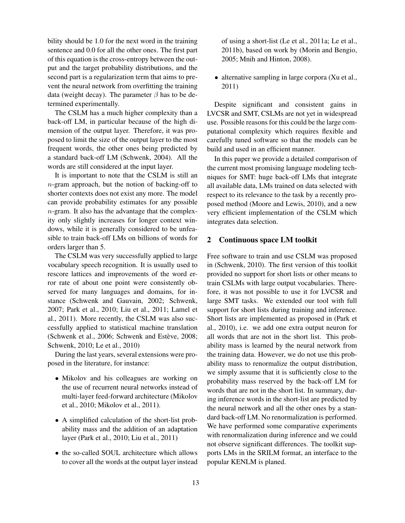bility should be 1.0 for the next word in the training sentence and 0.0 for all the other ones. The first part of this equation is the cross-entropy between the output and the target probability distributions, and the second part is a regularization term that aims to prevent the neural network from overfitting the training data (weight decay). The parameter  $\beta$  has to be determined experimentally.

The CSLM has a much higher complexity than a back-off LM, in particular because of the high dimension of the output layer. Therefore, it was proposed to limit the size of the output layer to the most frequent words, the other ones being predicted by a standard back-off LM (Schwenk, 2004). All the words are still considered at the input layer.

It is important to note that the CSLM is still an  $n$ -gram approach, but the notion of backing-off to shorter contexts does not exist any more. The model can provide probability estimates for any possible n-gram. It also has the advantage that the complexity only slightly increases for longer context windows, while it is generally considered to be unfeasible to train back-off LMs on billions of words for orders larger than 5.

The CSLM was very successfully applied to large vocabulary speech recognition. It is usually used to rescore lattices and improvements of the word error rate of about one point were consistently observed for many languages and domains, for instance (Schwenk and Gauvain, 2002; Schwenk, 2007; Park et al., 2010; Liu et al., 2011; Lamel et al., 2011). More recently, the CSLM was also successfully applied to statistical machine translation (Schwenk et al., 2006; Schwenk and Estève, 2008; Schwenk, 2010; Le et al., 2010)

During the last years, several extensions were proposed in the literature, for instance:

- Mikolov and his colleagues are working on the use of recurrent neural networks instead of multi-layer feed-forward architecture (Mikolov et al., 2010; Mikolov et al., 2011).
- A simplified calculation of the short-list probability mass and the addition of an adaptation layer (Park et al., 2010; Liu et al., 2011)
- the so-called SOUL architecture which allows to cover all the words at the output layer instead

of using a short-list (Le et al., 2011a; Le et al., 2011b), based on work by (Morin and Bengio, 2005; Mnih and Hinton, 2008).

• alternative sampling in large corpora (Xu et al., 2011)

Despite significant and consistent gains in LVCSR and SMT, CSLMs are not yet in widespread use. Possible reasons for this could be the large computational complexity which requires flexible and carefully tuned software so that the models can be build and used in an efficient manner.

In this paper we provide a detailed comparison of the current most promising language modeling techniques for SMT: huge back-off LMs that integrate all available data, LMs trained on data selected with respect to its relevance to the task by a recently proposed method (Moore and Lewis, 2010), and a new very efficient implementation of the CSLM which integrates data selection.

# 2 Continuous space LM toolkit

Free software to train and use CSLM was proposed in (Schwenk, 2010). The first version of this toolkit provided no support for short lists or other means to train CSLMs with large output vocabularies. Therefore, it was not possible to use it for LVCSR and large SMT tasks. We extended our tool with full support for short lists during training and inference. Short lists are implemented as proposed in (Park et al., 2010), i.e. we add one extra output neuron for all words that are not in the short list. This probability mass is learned by the neural network from the training data. However, we do not use this probability mass to renormalize the output distribution, we simply assume that it is sufficiently close to the probability mass reserved by the back-off LM for words that are not in the short list. In summary, during inference words in the short-list are predicted by the neural network and all the other ones by a standard back-off LM. No renormalization is performed. We have performed some comparative experiments with renormalization during inference and we could not observe significant differences. The toolkit supports LMs in the SRILM format, an interface to the popular KENLM is planed.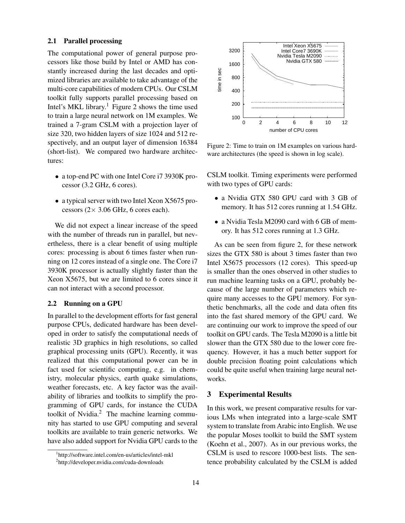## 2.1 Parallel processing

The computational power of general purpose processors like those build by Intel or AMD has constantly increased during the last decades and optimized libraries are available to take advantage of the multi-core capabilities of modern CPUs. Our CSLM toolkit fully supports parallel processing based on Intel's MKL library.<sup>1</sup> Figure 2 shows the time used to train a large neural network on 1M examples. We trained a 7-gram CSLM with a projection layer of size 320, two hidden layers of size 1024 and 512 respectively, and an output layer of dimension 16384 (short-list). We compared two hardware architectures:

- a top-end PC with one Intel Core i7 3930K processor (3.2 GHz, 6 cores).
- a typical server with two Intel Xeon X5675 processors  $(2 \times 3.06 \text{ GHz}, 6 \text{ cores each}).$

We did not expect a linear increase of the speed with the number of threads run in parallel, but nevertheless, there is a clear benefit of using multiple cores: processing is about 6 times faster when running on 12 cores instead of a single one. The Core i7 3930K processor is actually slightly faster than the Xeon X5675, but we are limited to 6 cores since it can not interact with a second processor.

## 2.2 Running on a GPU

In parallel to the development efforts for fast general purpose CPUs, dedicated hardware has been developed in order to satisfy the computational needs of realistic 3D graphics in high resolutions, so called graphical processing units (GPU). Recently, it was realized that this computational power can be in fact used for scientific computing, e.g. in chemistry, molecular physics, earth quake simulations, weather forecasts, etc. A key factor was the availability of libraries and toolkits to simplify the programming of GPU cards, for instance the CUDA toolkit of Nvidia.<sup>2</sup> The machine learning community has started to use GPU computing and several toolkits are available to train generic networks. We have also added support for Nvidia GPU cards to the



Figure 2: Time to train on 1M examples on various hardware architectures (the speed is shown in log scale).

CSLM toolkit. Timing experiments were performed with two types of GPU cards:

- a Nvidia GTX 580 GPU card with 3 GB of memory. It has 512 cores running at 1.54 GHz.
- a Nvidia Tesla M2090 card with 6 GB of memory. It has 512 cores running at 1.3 GHz.

As can be seen from figure 2, for these network sizes the GTX 580 is about 3 times faster than two Intel X5675 processors (12 cores). This speed-up is smaller than the ones observed in other studies to run machine learning tasks on a GPU, probably because of the large number of parameters which require many accesses to the GPU memory. For synthetic benchmarks, all the code and data often fits into the fast shared memory of the GPU card. We are continuing our work to improve the speed of our toolkit on GPU cards. The Tesla M2090 is a little bit slower than the GTX 580 due to the lower core frequency. However, it has a much better support for double precision floating point calculations which could be quite useful when training large neural networks.

# 3 Experimental Results

In this work, we present comparative results for various LMs when integrated into a large-scale SMT system to translate from Arabic into English. We use the popular Moses toolkit to build the SMT system (Koehn et al., 2007). As in our previous works, the CSLM is used to rescore 1000-best lists. The sentence probability calculated by the CSLM is added

<sup>1</sup> http://software.intel.com/en-us/articles/intel-mkl

<sup>&</sup>lt;sup>2</sup>http://developer.nvidia.com/cuda-downloads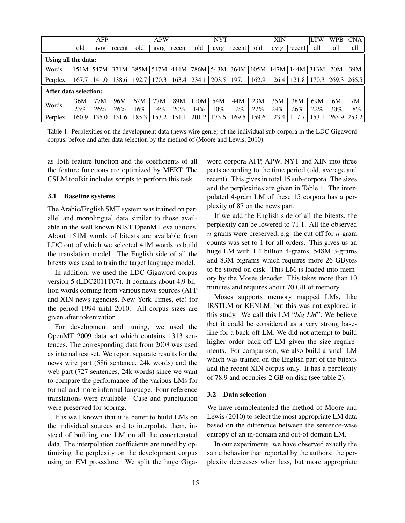|                                                                                                                                                                                                                                | AFP                                                                                                                                                                                           |       | <b>APW</b> |        | <b>NYT</b> |        | <b>XIN</b> |       | <b>LTW</b> | <b>WPB</b> | CNA   |        |       |     |               |
|--------------------------------------------------------------------------------------------------------------------------------------------------------------------------------------------------------------------------------|-----------------------------------------------------------------------------------------------------------------------------------------------------------------------------------------------|-------|------------|--------|------------|--------|------------|-------|------------|------------|-------|--------|-------|-----|---------------|
|                                                                                                                                                                                                                                | old                                                                                                                                                                                           | avrg  | recent     | old    | avrg       | recent | old        | avrg  | recent     | old        | avrg  | recent | all   | all | all           |
| Using all the data:                                                                                                                                                                                                            |                                                                                                                                                                                               |       |            |        |            |        |            |       |            |            |       |        |       |     |               |
| Words                                                                                                                                                                                                                          | $\parallel$ 151M $\mid$ 547M $\mid$ 371M $\mid$ 385M $\mid$ 547M $\mid$ 444M $\mid$ 786M $\mid$ 543M $\mid$ 364M $\mid$ 105M $\mid$ 147M $\mid$ 144M $\mid$ 313M $\mid$ 20M $\mid$ 39M $\mid$ |       |            |        |            |        |            |       |            |            |       |        |       |     |               |
| Perplex    167.7    141.0    138.6    192.7    170.3    163.4    234.1    203.5    197.1    162.9    126.4    121.8    170.3    269.3    266.5    170.3    269.3    266.5    170.3    270.7    170.3    270.7    270.7    270. |                                                                                                                                                                                               |       |            |        |            |        |            |       |            |            |       |        |       |     |               |
| After data selection:                                                                                                                                                                                                          |                                                                                                                                                                                               |       |            |        |            |        |            |       |            |            |       |        |       |     |               |
| Words                                                                                                                                                                                                                          | 36M                                                                                                                                                                                           | 77M   | 96M        | 62M    | 77M        | 89M    | 110M       | 54M   | 44M        | 23M        | 35M   | 38M    | 69M   | 6M  | 7M            |
|                                                                                                                                                                                                                                | 23%                                                                                                                                                                                           | 26%   | 26%        | $16\%$ | 14%        | 20%    | 14%        | 10%   | 12%        | 22%        | 24%   | 26%    | 22%   | 30% | $18\%$        |
| Perplex                                                                                                                                                                                                                        | 160.9                                                                                                                                                                                         | 135.0 | 131.6      | 185.3  | 153.2      | 151.1  | 201.2      | 173.6 | 169.5      | 159.6      | 123.4 | 117.7  | 153.1 |     | $263.9$ 253.2 |

Table 1: Perplexities on the development data (news wire genre) of the individual sub-corpora in the LDC Gigaword corpus, before and after data selection by the method of (Moore and Lewis, 2010).

as 15th feature function and the coefficients of all the feature functions are optimized by MERT. The CSLM toolkit includes scripts to perform this task.

## 3.1 Baseline systems

The Arabic/English SMT system was trained on parallel and monolingual data similar to those available in the well known NIST OpenMT evaluations. About 151M words of bitexts are available from LDC out of which we selected 41M words to build the translation model. The English side of all the bitexts was used to train the target language model.

In addition, we used the LDC Gigaword corpus version 5 (LDC2011T07). It contains about 4.9 billion words coming from various news sources (AFP and XIN news agencies, New York Times, etc) for the period 1994 until 2010. All corpus sizes are given after tokenization.

For development and tuning, we used the OpenMT 2009 data set which contains 1313 sentences. The corresponding data from 2008 was used as internal test set. We report separate results for the news wire part (586 sentence, 24k words) and the web part (727 sentences, 24k words) since we want to compare the performance of the various LMs for formal and more informal language. Four reference translations were available. Case and punctuation were preserved for scoring.

It is well known that it is better to build LMs on the individual sources and to interpolate them, instead of building one LM on all the concatenated data. The interpolation coefficients are tuned by optimizing the perplexity on the development corpus using an EM procedure. We split the huge Gigaword corpora AFP, APW, NYT and XIN into three parts according to the time period (old, average and recent). This gives in total 15 sub-corpora. The sizes and the perplexities are given in Table 1. The interpolated 4-gram LM of these 15 corpora has a perplexity of 87 on the news part.

If we add the English side of all the bitexts, the perplexity can be lowered to 71.1. All the observed  $n$ -grams were preserved, e.g. the cut-off for  $n$ -gram counts was set to 1 for all orders. This gives us an huge LM with 1.4 billion 4-grams, 548M 3-grams and 83M bigrams which requires more 26 GBytes to be stored on disk. This LM is loaded into memory by the Moses decoder. This takes more than 10 minutes and requires about 70 GB of memory.

Moses supports memory mapped LMs, like IRSTLM or KENLM, but this was not explored in this study. We call this LM "*big LM*". We believe that it could be considered as a very strong baseline for a back-off LM. We did not attempt to build higher order back-off LM given the size requirements. For comparison, we also build a small LM which was trained on the English part of the bitexts and the recent XIN corpus only. It has a perplexity of 78.9 and occupies 2 GB on disk (see table 2).

#### 3.2 Data selection

We have reimplemented the method of Moore and Lewis (2010) to select the most appropriate LM data based on the difference between the sentence-wise entropy of an in-domain and out-of domain LM.

In our experiments, we have observed exactly the same behavior than reported by the authors: the perplexity decreases when less, but more appropriate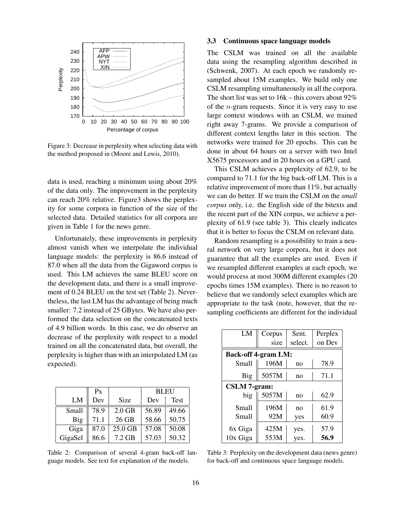

Figure 3: Decrease in perplexity when selecting data with the method proposed in (Moore and Lewis, 2010).

data is used, reaching a minimum using about 20% of the data only. The improvement in the perplexity can reach 20% relative. Figure3 shows the perplexity for some corpora in function of the size of the selected data. Detailed statistics for all corpora are given in Table 1 for the news genre.

Unfortunately, these improvements in perplexity almost vanish when we interpolate the individual language models: the perplexity is 86.6 instead of 87.0 when all the data from the Gigaword corpus is used. This LM achieves the same BLEU score on the development data, and there is a small improvement of 0.24 BLEU on the test set (Table 2). Nevertheless, the last LM has the advantage of being much smaller: 7.2 instead of 25 GBytes. We have also performed the data selection on the concatenated texts of 4.9 billion words. In this case, we do observe an decrease of the perplexity with respect to a model trained on all the concatenated data, but overall, the perplexity is higher than with an interpolated LM (as expected).

|         | Px   |          | <b>BLEU</b> |             |
|---------|------|----------|-------------|-------------|
| LM      | Dev  | Size     | Dev         | <b>Test</b> |
| Small   | 78.9 | $2.0$ GB | 56.89       | 49.66       |
| Big     | 71.1 | 26 GB    | 58.66       | 50.75       |
| Giga    | 87.0 | 25.0 GB  | 57.08       | 50.08       |
| GigaSel | 86.6 | 7.2 GB   | 57.03       | 50.32       |

Table 2: Comparison of several 4-gram back-off language models. See text for explanation of the models.

#### 3.3 Continuous space language models

The CSLM was trained on all the available data using the resampling algorithm described in (Schwenk, 2007). At each epoch we randomly resampled about 15M examples. We build only one CSLM resampling simultaneously in all the corpora. The short list was set to 16k – this covers about 92% of the *n*-gram requests. Since it is very easy to use large context windows with an CSLM, we trained right away 7-grams. We provide a comparison of different context lengths later in this section. The networks were trained for 20 epochs. This can be done in about 64 hours on a server with two Intel X5675 processors and in 20 hours on a GPU card.

This CSLM achieves a perplexity of 62.9, to be compared to 71.1 for the big back-off LM. This is a relative improvement of more than 11%, but actually we can do better. If we train the CSLM on the *small corpus* only, i.e. the English side of the bitexts and the recent part of the XIN corpus, we achieve a perplexity of 61.9 (see table 3). This clearly indicates that it is better to focus the CSLM on relevant data.

Random resampling is a possibility to train a neural network on very large corpora, but it does not guarantee that all the examples are used. Even if we resampled different examples at each epoch, we would process at most 300M different examples (20 epochs times 15M examples). There is no reason to believe that we randomly select examples which are appropriate to the task (note, however, that the resampling coefficients are different for the individual

| LM                         | Corpus | Sent.          | Perplex |  |  |  |  |  |
|----------------------------|--------|----------------|---------|--|--|--|--|--|
|                            | size   | select.        | on Dev  |  |  |  |  |  |
| <b>Back-off 4-gram LM:</b> |        |                |         |  |  |  |  |  |
| Small                      | 196M   | no             | 78.9    |  |  |  |  |  |
| Big                        | 5057M  | no             | 71.1    |  |  |  |  |  |
| <b>CSLM</b> 7-gram:        |        |                |         |  |  |  |  |  |
| big                        | 5057M  | n <sub>O</sub> | 62.9    |  |  |  |  |  |
| Small                      | 196M   | no             | 61.9    |  |  |  |  |  |
| Small                      | 92M    | yes            | 60.9    |  |  |  |  |  |
| 6x Giga                    | 425M   | yes.           | 57.9    |  |  |  |  |  |
| 10x Giga                   | 553M   | yes.           | 56.9    |  |  |  |  |  |

Table 3: Perplexity on the development data (news genre) for back-off and continuous space language models.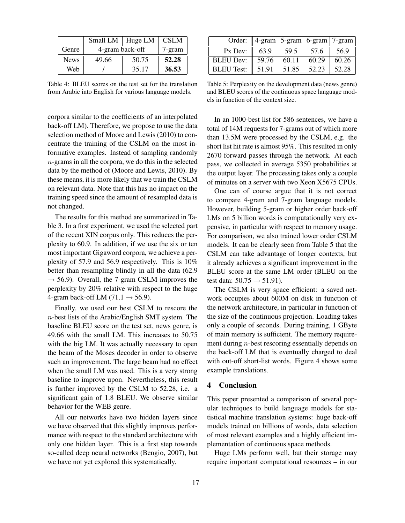|             | Small $LM$   Huge $LM$ |       | <b>CSLM</b> |
|-------------|------------------------|-------|-------------|
| Genre       | 4-gram back-off        |       | 7-gram      |
| <b>News</b> | 49.66                  | 50.75 | 52.28       |
| Web         |                        | 35.17 | 36.53       |

Table 4: BLEU scores on the test set for the translation from Arabic into English for various language models.

corpora similar to the coefficients of an interpolated back-off LM). Therefore, we propose to use the data selection method of Moore and Lewis (2010) to concentrate the training of the CSLM on the most informative examples. Instead of sampling randomly  $n$ -grams in all the corpora, we do this in the selected data by the method of (Moore and Lewis, 2010). By these means, it is more likely that we train the CSLM on relevant data. Note that this has no impact on the training speed since the amount of resampled data is not changed.

The results for this method are summarized in Table 3. In a first experiment, we used the selected part of the recent XIN corpus only. This reduces the perplexity to 60.9. In addition, if we use the six or ten most important Gigaword corpora, we achieve a perplexity of 57.9 and 56.9 respectively. This is 10% better than resampling blindly in all the data (62.9  $\rightarrow$  56.9). Overall, the 7-gram CSLM improves the perplexity by 20% relative with respect to the huge 4-gram back-off LM  $(71.1 \rightarrow 56.9)$ .

Finally, we used our best CSLM to rescore the n-best lists of the Arabic/English SMT system. The baseline BLEU score on the test set, news genre, is 49.66 with the small LM. This increases to 50.75 with the big LM. It was actually necessary to open the beam of the Moses decoder in order to observe such an improvement. The large beam had no effect when the small LM was used. This is a very strong baseline to improve upon. Nevertheless, this result is further improved by the CSLM to 52.28, i.e. a significant gain of 1.8 BLEU. We observe similar behavior for the WEB genre.

All our networks have two hidden layers since we have observed that this slightly improves performance with respect to the standard architecture with only one hidden layer. This is a first step towards so-called deep neural networks (Bengio, 2007), but we have not yet explored this systematically.

|                   | Order: $  4-gram  5-gram  6-gram  7-gram$ |       |       |       |
|-------------------|-------------------------------------------|-------|-------|-------|
| $Px$ Dev:         | 63.9                                      | 59.5  | 57.6  | 56.9  |
| <b>BLEU Dev:</b>  | 59.76                                     | 60.11 | 60.29 | 60.26 |
| <b>BLEU</b> Test: | 51.91                                     | 51.85 | 52.23 | 52.28 |

Table 5: Perplexity on the development data (news genre) and BLEU scores of the continuous space language models in function of the context size.

In an 1000-best list for 586 sentences, we have a total of 14M requests for 7-grams out of which more than 13.5M were processed by the CSLM, e.g. the short list hit rate is almost 95%. This resulted in only 2670 forward passes through the network. At each pass, we collected in average 5350 probabilities at the output layer. The processing takes only a couple of minutes on a server with two Xeon X5675 CPUs.

One can of course argue that it is not correct to compare 4-gram and 7-gram language models. However, building 5-gram or higher order back-off LMs on 5 billion words is computationally very expensive, in particular with respect to memory usage. For comparison, we also trained lower order CSLM models. It can be clearly seen from Table 5 that the CSLM can take advantage of longer contexts, but it already achieves a significant improvement in the BLEU score at the same LM order (BLEU on the test data:  $50.75 \rightarrow 51.91$ ).

The CSLM is very space efficient: a saved network occupies about 600M on disk in function of the network architecture, in particular in function of the size of the continuous projection. Loading takes only a couple of seconds. During training, 1 GByte of main memory is sufficient. The memory requirement during *n*-best rescoring essentially depends on the back-off LM that is eventually charged to deal with out-off short-list words. Figure 4 shows some example translations.

# 4 Conclusion

This paper presented a comparison of several popular techniques to build language models for statistical machine translation systems: huge back-off models trained on billions of words, data selection of most relevant examples and a highly efficient implementation of continuous space methods.

Huge LMs perform well, but their storage may require important computational resources – in our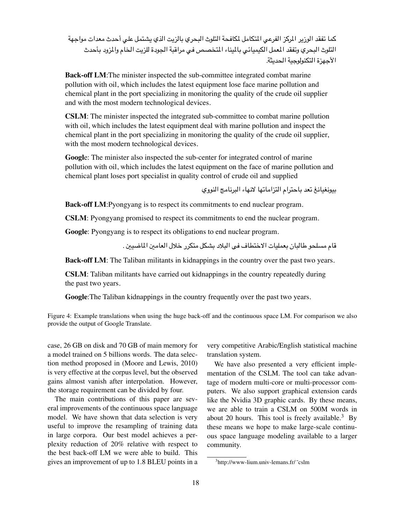كما تفقد الوزير المركز الفرعى المتكامل لمكافحة التلوث البحري بالزيت الذي يشتمل على أحدث معدات مواجهة التلوث البحري وتفقد المعمل الكيميائي بالميناء المتخصص فيي مراقبة الجودة للزيت الخام والمزود بأحدث الأحهزة التكنولوجية الحديثة.

**Back-off LM**:The minister inspected the sub-committee integrated combat marine pollution with oil, which includes the latest equipment lose face marine pollution and chemical plant in the port specializing in monitoring the quality of the crude oil supplier and with the most modern technological devices.

**CSLM**: The minister inspected the integrated sub-committee to combat marine pollution with oil, which includes the latest equipment deal with marine pollution and inspect the chemical plant in the port specializing in monitoring the quality of the crude oil supplier, with the most modern technological devices.

**Googl**e: The minister also inspected the sub-center for integrated control of marine pollution with oil, which includes the latest equipment on the face of marine pollution and chemical plant loses port specialist in quality control of crude oil and supplied

بيونغيانغ تعد باحترام التزاماتها لانهاء البرنامج النووي

**Back-off LM**:Pyongyang is to respect its commitments to end nuclear program.

**CSLM**: Pyongyang promised to respect its commitments to end the nuclear program.

**Google**: Pyongyang is to respect its obligations to end nuclear program.

قام مسلحو طالبان بعمليات الاختطاف في البلاد بشكل متكرر خلال العامين الماضيين .

**Back-off LM**: The Taliban militants in kidnappings in the country over the past two years.

**CSLM**: Taliban militants have carried out kidnappings in the country repeatedly during the past two years.

**Google**:The Taliban kidnappings in the country frequently over the past two years.

Figure 4: Example translations when using the huge back-off and the continuous space LM. For comparison we also provide the output of Google Translate.

case, 26 GB on disk and 70 GB of main memory for a model trained on 5 billions words. The data selection method proposed in (Moore and Lewis, 2010) is very effective at the corpus level, but the observed gains almost vanish after interpolation. However, the storage requirement can be divided by four.

The main contributions of this paper are several improvements of the continuous space language model. We have shown that data selection is very useful to improve the resampling of training data in large corpora. Our best model achieves a perplexity reduction of 20% relative with respect to the best back-off LM we were able to build. This gives an improvement of up to 1.8 BLEU points in a very competitive Arabic/English statistical machine translation system.

We have also presented a very efficient implementation of the CSLM. The tool can take advantage of modern multi-core or multi-processor computers. We also support graphical extension cards like the Nvidia 3D graphic cards. By these means, we are able to train a CSLM on 500M words in about 20 hours. This tool is freely available.<sup>3</sup> By these means we hope to make large-scale continuous space language modeling available to a larger community.

<sup>&</sup>lt;sup>3</sup>http://www-lium.univ-lemans.fr/~cslm